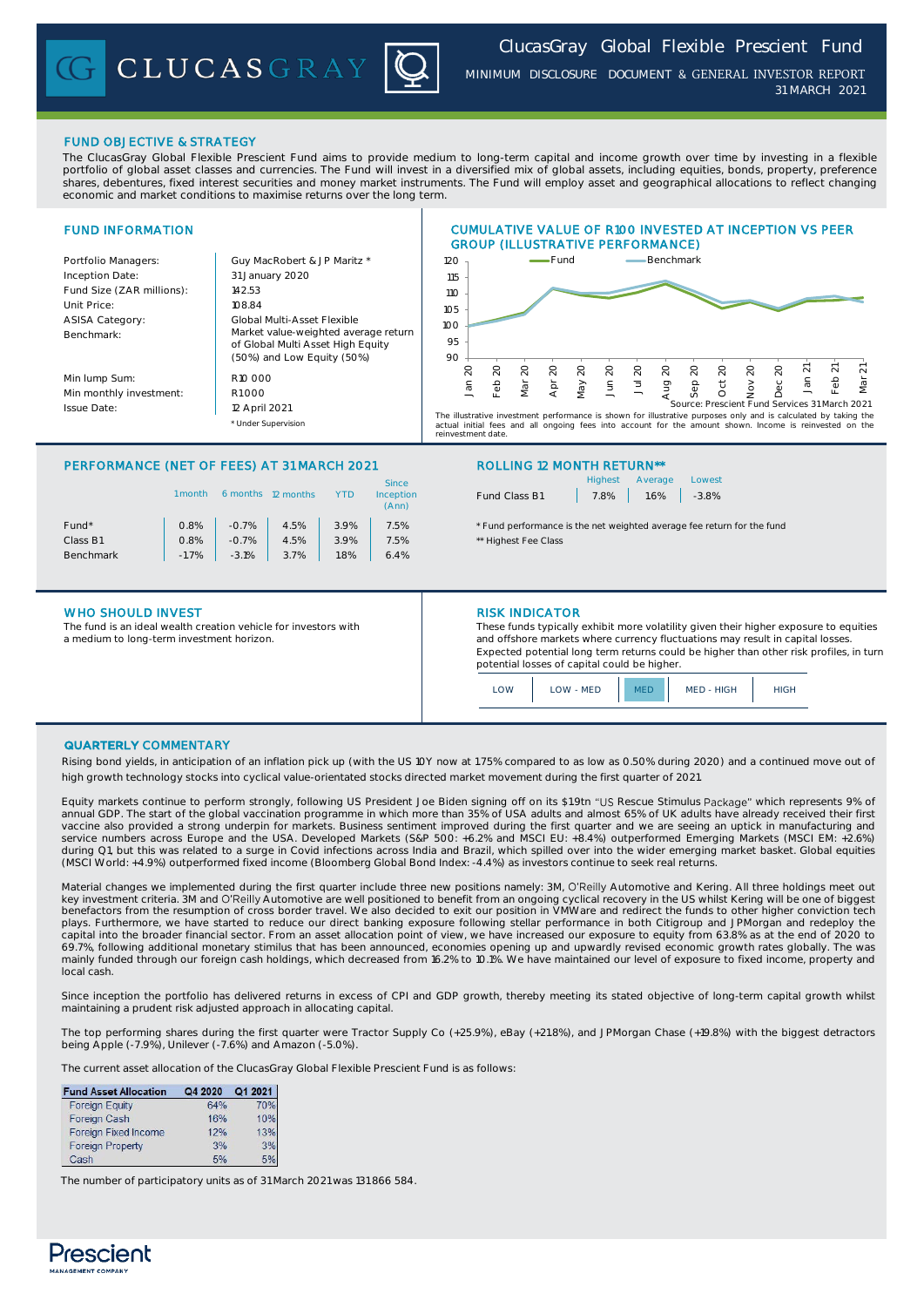CLUCASGRAY



*MINIMUM DISCLOSURE DOCUMENT* & GENERAL INVESTOR REPORT *31 MARCH 2021*

# FUND OBJECTIVE & STRATEGY

The ClucasGray Global Flexible Prescient Fund aims to provide medium to long-term capital and income growth over time by investing in a flexible portfolio of global asset classes and currencies. The Fund will invest in a diversified mix of global assets, including equities, bonds, property, preference shares, debentures, fixed interest securities and money market instruments. The Fund will employ asset and geographical allocations to reflect changing economic and market conditions to maximise returns over the long term.

### FUND INFORMATION Portfolio Managers: Carl Guy MacRobert & JP Maritz \* Inception Date: Fund Size (ZAR millions): | 142.53 Unit Price: 108.84 ASISA Category: Benchmark: Min lump Sum: Min monthly investment: R1 000 Issue Date: \* Under Supervision CUMULATIVE VALUE OF R100 INVESTED AT INCEPTION VS PEER GROUP (ILLUSTRATIVE PERFORMANCE) 31 January 2020 Global Multi-Asset Flexible R10 000 12 April 2021 Market value-weighted average return of Global Multi Asset High Equity (50%) and Low Equity (50%) 90 95 100 105 110 115 120 Jan 20 Feb 20 Mar 20 Apr 20 May 20 Jun 20 Jul 20 .<br>Aug Sep 20 Oct 20  $\sim$ Dec 20 Jan Feb 21 Mar 21 Fund **Benchmark** The illustrative investment performance is shown for illustrative purposes only and is calculated by taking the actual initial fees and all ongoing fees into account for the amount shown. Income is reinvested on the raar miniar roos<br>investment date Source: Prescient Fund Services 31 March 2021

# PERFORMANCE (NET OF FEES) AT 31 MARCH 2021 ROLLING 12 MONTH RETURN\*\*

|                   | l month | 6 months | 12 months |      | <b>Since</b><br>Inception<br>(Ann) |
|-------------------|---------|----------|-----------|------|------------------------------------|
| Fund <sup>*</sup> | 0.8%    | $-0.7%$  | 4.5%      | 3.9% | 7.5%                               |
| Class B1          | 0.8%    | $-0.7%$  | 4.5%      | 3.9% | 7.5%                               |
| <b>Benchmark</b>  | $-1.7%$ | $-3.1%$  | 3.7%      | 1.8% | 6.4%                               |
|                   |         |          |           |      |                                    |

### WHO SHOULD INVEST **RISK INDICATOR**

The fund is an ideal wealth creation vehicle for investors with a medium to long-term investment horizon.

|               | Highest Average Lowest   |  |
|---------------|--------------------------|--|
| Fund Class B1 | $7.8\%$ $1.6\%$ $-3.8\%$ |  |

\* Fund performance is the net weighted average fee return for the fund \*\* Highest Fee Class

These funds typically exhibit more volatility given their higher exposure to equities and offshore markets where currency fluctuations may result in capital losses. Expected potential long term returns could be higher than other risk profiles, in turn potential losses of capital could be higher.

| וגר | LOW - MED | MED - HIGH | <b>GH</b> |
|-----|-----------|------------|-----------|
|     |           |            |           |

## QUARTERLY COMMENTARY

Rising bond yields, in anticipation of an inflation pick up (with the US 10Y now at 1.75% compared to as low as 0.50% during 2020) and a continued move out of high growth technology stocks into cyclical value-orientated stocks directed market movement during the first quarter of 2021.

Equity markets continue to perform strongly, following US President Joe Biden signing off on its \$1.9tn "US Rescue Stimulus Package" which represents 9% of annual GDP. The start of the global vaccination programme in which more than 35% of USA adults and almost 65% of UK adults have already received their first vaccine also provided a strong underpin for markets. Business sentiment improved during the first quarter and we are seeing an uptick in manufacturing and service numbers across Europe and the USA. Developed Markets (S&P 500: +6.2% and MSCI EU: +8.4%) outperformed Emerging Markets (MSCI EM: +2.6%)<br>during Q1, but this was related to a surge in Covid infections across India an (MSCI World: +4.9%) outperformed fixed income (Bloomberg Global Bond Index: -4.4%) as investors continue to seek real returns.

Material changes we implemented during the first quarter include three new positions namely: 3M, O'Reilly Automotive and Kering. All three holdings meet out key investment criteria. 3M and O'Reilly Automotive are well positioned to benefit from an ongoing cyclical recovery in the US whilst Kering will be one of biggest<br>benefactors from the resumption of cross border travel. We plays. Furthermore, we have started to reduce our direct banking exposure following stellar performance in both Citigroup and JPMorgan and redeploy the capital into the broader financial sector. From an asset allocation point of view, we have increased our exposure to equity from 63.8% as at the end of 2020 to 69.7%, following additional monetary stimilus that has been announced, economies opening up and upwardly revised economic growth rates globally. The was mainly funded through our foreign cash holdings, which decreased from 16.2% to 10.1%. We have maintained our level of exposure to fixed income, property and local cash.

Since inception the portfolio has delivered returns in excess of CPI and GDP growth, thereby meeting its stated objective of long-term capital growth whilst maintaining a prudent risk adjusted approach in allocating capital.

The top performing shares during the first quarter were Tractor Supply Co (+25.9%), eBay (+21.8%), and JPMorgan Chase (+19.8%) with the biggest detractors being Apple (-7.9%), Unilever (-7.6%) and Amazon (-5.0%).

The current asset allocation of the ClucasGray Global Flexible Prescient Fund is as follows:

| <b>Fund Asset Allocation</b> | Q4 2020 | Q1 2021 |
|------------------------------|---------|---------|
| <b>Foreign Equity</b>        | 64%     | 70%     |
| Foreign Cash                 | 16%     | 10%     |
| Foreign Fixed Income         | 12%     | 13%     |
| <b>Foreign Property</b>      | 3%      | 3%      |
| Cash                         | 5%      |         |

The number of participatory units as of 31 March 2021 was 131 866 584.

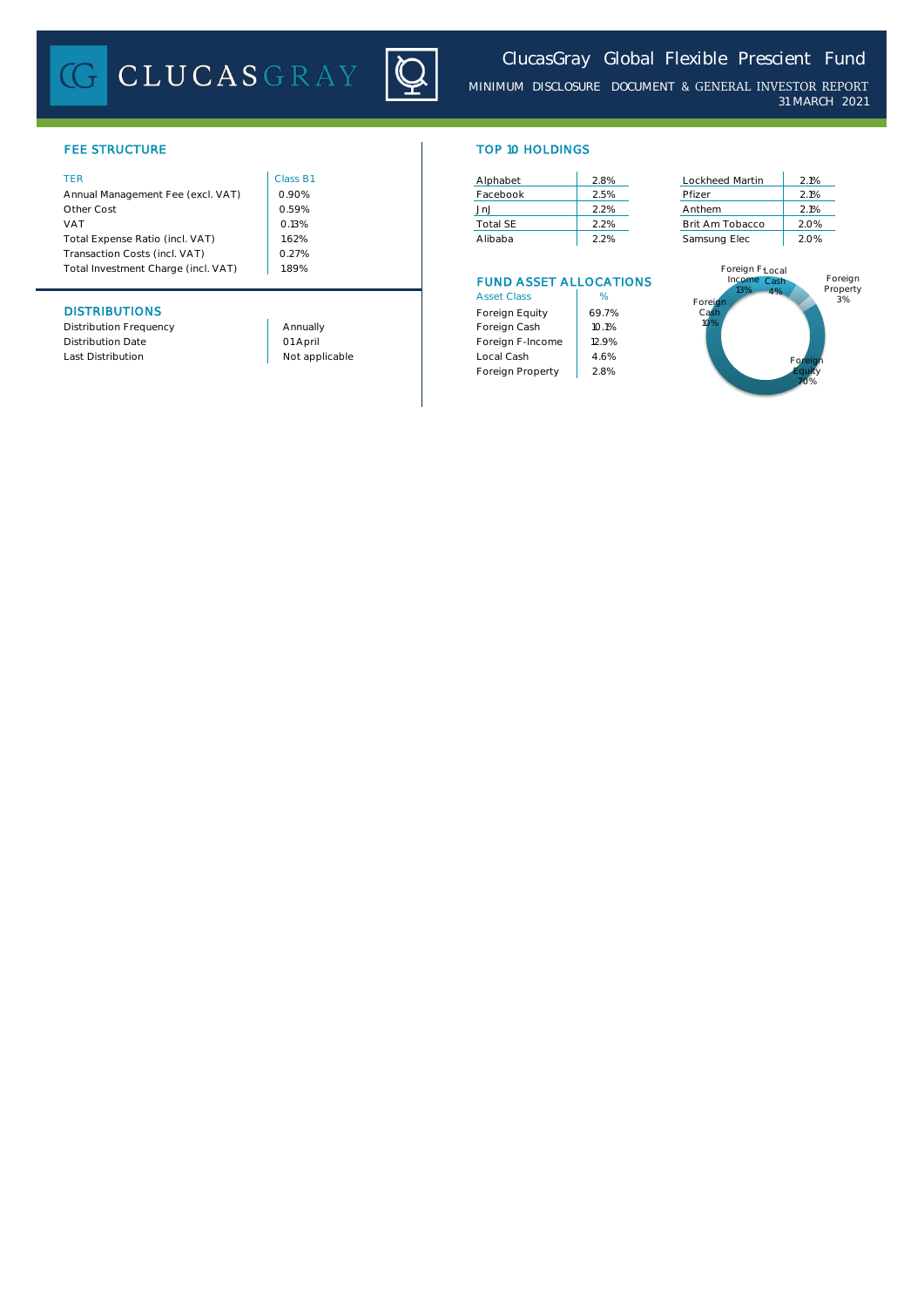# **CLUCASGRAY**



*MINIMUM DISCLOSURE DOCUMENT* & GENERAL INVESTOR REPORT *31 MARCH 2021*

# **FEE STRUCTURE**

| <b>TER</b>                          | Class B1 | Alphabet | 2.8%                          | Lockheed Martin                           | 2.1% |
|-------------------------------------|----------|----------|-------------------------------|-------------------------------------------|------|
| Annual Management Fee (excl. VAT)   | 0.90%    | Facebook | 2.5%                          | Pfizer                                    | 2.1% |
| Other Cost                          | 0.59%    | .Jn.J    | 2.2%                          | Anthem                                    | 2.1% |
| <b>VAT</b>                          | 0.13%    | Total SE | 2.2%                          | Brit Am Tobacco                           | 2.0% |
| Total Expense Ratio (incl. VAT)     | 1.62%    | Alibaba  | 2.2%                          | Samsung Elec                              | 2.0% |
| Transaction Costs (incl. VAT)       | 0.27%    |          |                               |                                           |      |
| Total Investment Charge (incl. VAT) | 1.89%    |          |                               | Foreign F <sub>Local</sub><br>Income Cash |      |
|                                     |          |          | <b>FUND ASSET ALLOCATIONS</b> |                                           |      |

| TOP 10 HOLDINGS |  |  |
|-----------------|--|--|
|                 |  |  |

| Alphabet        | 2.8% |
|-----------------|------|
| Facebook        | 2.5% |
| JnJ             | 22%  |
| <b>Total SF</b> | 2.2% |
| Alibaba         | 2.2% |

# FUND ASSET ALLOCATIONS

|                          |                | <b>Asset Class</b> | %     |
|--------------------------|----------------|--------------------|-------|
| <b>DISTRIBUTIONS</b>     |                | Foreign Equity     | 69.7% |
| Distribution Frequency   | Annually       | Foreign Cash       | 10.1% |
| <b>Distribution Date</b> | 01 April       | Foreign F-Income   | 12.9% |
| Last Distribution        | Not applicable | Local Cash         | 4.6%  |
|                          |                | Foreign Property   | 2.8%  |

| Lockheed Martin | 2.1% |
|-----------------|------|
| Pfizer          | 2.1% |
| Anthem          | 2.1% |
| Brit Am Tobacco | 2.0% |
| Samsung Elec    | 2.0% |